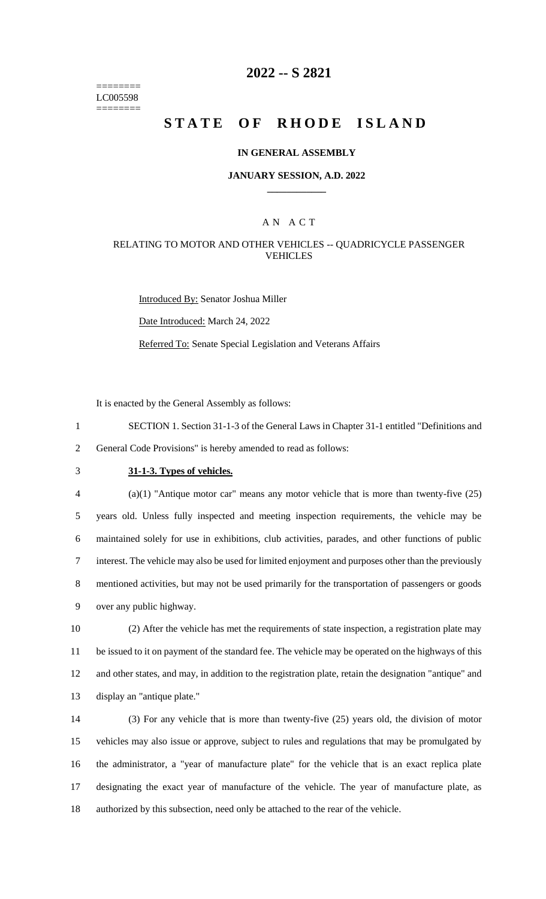======== LC005598 ========

### **2022 -- S 2821**

# **STATE OF RHODE ISLAND**

#### **IN GENERAL ASSEMBLY**

### **JANUARY SESSION, A.D. 2022 \_\_\_\_\_\_\_\_\_\_\_\_**

### A N A C T

#### RELATING TO MOTOR AND OTHER VEHICLES -- QUADRICYCLE PASSENGER VEHICLES

Introduced By: Senator Joshua Miller

Date Introduced: March 24, 2022

Referred To: Senate Special Legislation and Veterans Affairs

It is enacted by the General Assembly as follows:

- 1 SECTION 1. Section 31-1-3 of the General Laws in Chapter 31-1 entitled "Definitions and 2 General Code Provisions" is hereby amended to read as follows:
- 

### 3 **31-1-3. Types of vehicles.**

 (a)(1) "Antique motor car" means any motor vehicle that is more than twenty-five (25) years old. Unless fully inspected and meeting inspection requirements, the vehicle may be maintained solely for use in exhibitions, club activities, parades, and other functions of public interest. The vehicle may also be used for limited enjoyment and purposes other than the previously mentioned activities, but may not be used primarily for the transportation of passengers or goods over any public highway.

 (2) After the vehicle has met the requirements of state inspection, a registration plate may be issued to it on payment of the standard fee. The vehicle may be operated on the highways of this and other states, and may, in addition to the registration plate, retain the designation "antique" and display an "antique plate."

 (3) For any vehicle that is more than twenty-five (25) years old, the division of motor vehicles may also issue or approve, subject to rules and regulations that may be promulgated by the administrator, a "year of manufacture plate" for the vehicle that is an exact replica plate designating the exact year of manufacture of the vehicle. The year of manufacture plate, as authorized by this subsection, need only be attached to the rear of the vehicle.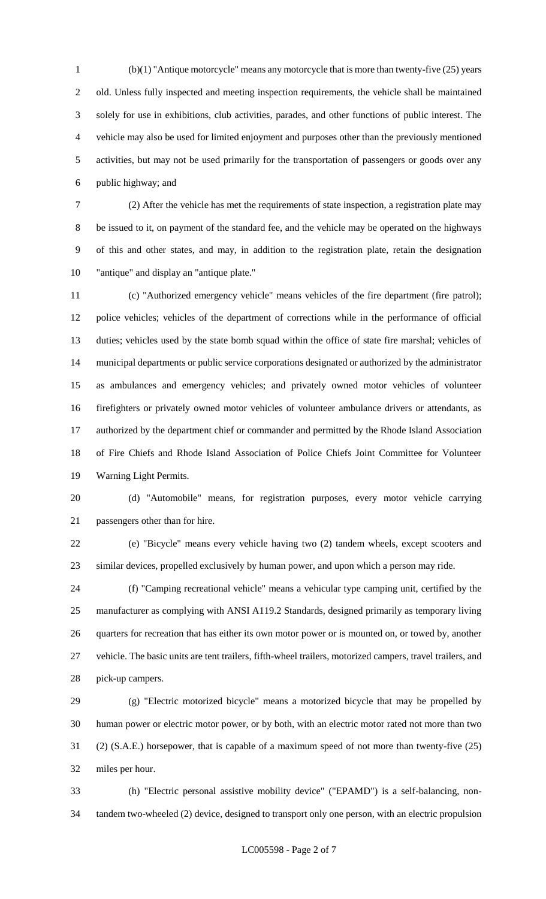(b)(1) "Antique motorcycle" means any motorcycle that is more than twenty-five (25) years old. Unless fully inspected and meeting inspection requirements, the vehicle shall be maintained solely for use in exhibitions, club activities, parades, and other functions of public interest. The vehicle may also be used for limited enjoyment and purposes other than the previously mentioned activities, but may not be used primarily for the transportation of passengers or goods over any public highway; and

 (2) After the vehicle has met the requirements of state inspection, a registration plate may be issued to it, on payment of the standard fee, and the vehicle may be operated on the highways of this and other states, and may, in addition to the registration plate, retain the designation "antique" and display an "antique plate."

 (c) "Authorized emergency vehicle" means vehicles of the fire department (fire patrol); police vehicles; vehicles of the department of corrections while in the performance of official duties; vehicles used by the state bomb squad within the office of state fire marshal; vehicles of municipal departments or public service corporations designated or authorized by the administrator as ambulances and emergency vehicles; and privately owned motor vehicles of volunteer firefighters or privately owned motor vehicles of volunteer ambulance drivers or attendants, as authorized by the department chief or commander and permitted by the Rhode Island Association of Fire Chiefs and Rhode Island Association of Police Chiefs Joint Committee for Volunteer Warning Light Permits.

 (d) "Automobile" means, for registration purposes, every motor vehicle carrying passengers other than for hire.

 (e) "Bicycle" means every vehicle having two (2) tandem wheels, except scooters and similar devices, propelled exclusively by human power, and upon which a person may ride.

 (f) "Camping recreational vehicle" means a vehicular type camping unit, certified by the manufacturer as complying with ANSI A119.2 Standards, designed primarily as temporary living quarters for recreation that has either its own motor power or is mounted on, or towed by, another vehicle. The basic units are tent trailers, fifth-wheel trailers, motorized campers, travel trailers, and pick-up campers.

 (g) "Electric motorized bicycle" means a motorized bicycle that may be propelled by human power or electric motor power, or by both, with an electric motor rated not more than two (2) (S.A.E.) horsepower, that is capable of a maximum speed of not more than twenty-five (25) miles per hour.

 (h) "Electric personal assistive mobility device" ("EPAMD") is a self-balancing, non-tandem two-wheeled (2) device, designed to transport only one person, with an electric propulsion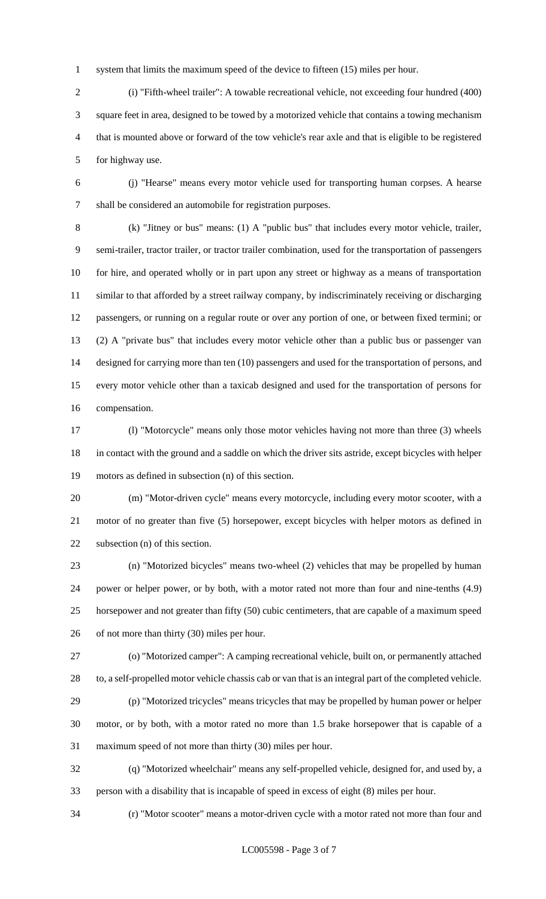system that limits the maximum speed of the device to fifteen (15) miles per hour.

 (i) "Fifth-wheel trailer": A towable recreational vehicle, not exceeding four hundred (400) square feet in area, designed to be towed by a motorized vehicle that contains a towing mechanism that is mounted above or forward of the tow vehicle's rear axle and that is eligible to be registered for highway use.

 (j) "Hearse" means every motor vehicle used for transporting human corpses. A hearse shall be considered an automobile for registration purposes.

 (k) "Jitney or bus" means: (1) A "public bus" that includes every motor vehicle, trailer, semi-trailer, tractor trailer, or tractor trailer combination, used for the transportation of passengers for hire, and operated wholly or in part upon any street or highway as a means of transportation similar to that afforded by a street railway company, by indiscriminately receiving or discharging passengers, or running on a regular route or over any portion of one, or between fixed termini; or (2) A "private bus" that includes every motor vehicle other than a public bus or passenger van designed for carrying more than ten (10) passengers and used for the transportation of persons, and every motor vehicle other than a taxicab designed and used for the transportation of persons for compensation.

 (l) "Motorcycle" means only those motor vehicles having not more than three (3) wheels in contact with the ground and a saddle on which the driver sits astride, except bicycles with helper motors as defined in subsection (n) of this section.

 (m) "Motor-driven cycle" means every motorcycle, including every motor scooter, with a motor of no greater than five (5) horsepower, except bicycles with helper motors as defined in subsection (n) of this section.

 (n) "Motorized bicycles" means two-wheel (2) vehicles that may be propelled by human power or helper power, or by both, with a motor rated not more than four and nine-tenths (4.9) horsepower and not greater than fifty (50) cubic centimeters, that are capable of a maximum speed of not more than thirty (30) miles per hour.

 (o) "Motorized camper": A camping recreational vehicle, built on, or permanently attached to, a self-propelled motor vehicle chassis cab or van that is an integral part of the completed vehicle.

 (p) "Motorized tricycles" means tricycles that may be propelled by human power or helper motor, or by both, with a motor rated no more than 1.5 brake horsepower that is capable of a maximum speed of not more than thirty (30) miles per hour.

 (q) "Motorized wheelchair" means any self-propelled vehicle, designed for, and used by, a person with a disability that is incapable of speed in excess of eight (8) miles per hour.

(r) "Motor scooter" means a motor-driven cycle with a motor rated not more than four and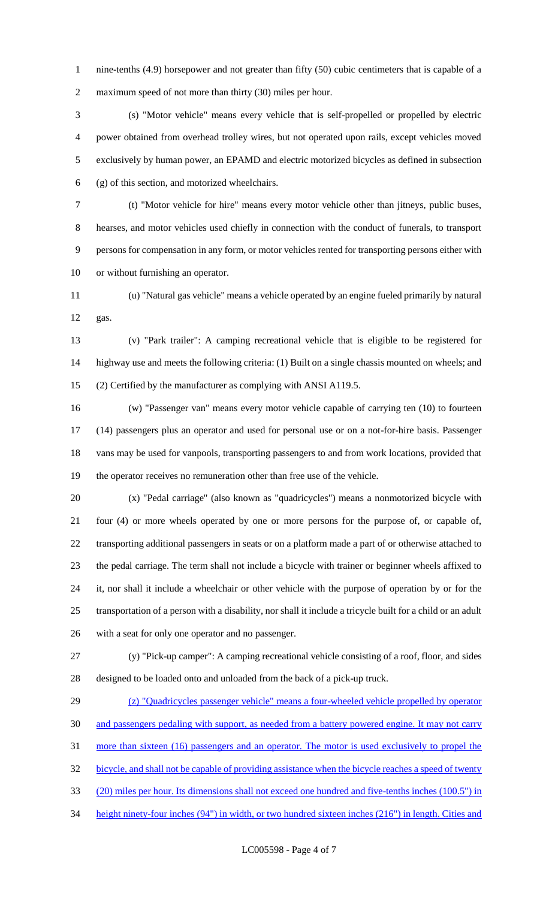1 nine-tenths (4.9) horsepower and not greater than fifty (50) cubic centimeters that is capable of a maximum speed of not more than thirty (30) miles per hour.

 (s) "Motor vehicle" means every vehicle that is self-propelled or propelled by electric power obtained from overhead trolley wires, but not operated upon rails, except vehicles moved exclusively by human power, an EPAMD and electric motorized bicycles as defined in subsection (g) of this section, and motorized wheelchairs.

 (t) "Motor vehicle for hire" means every motor vehicle other than jitneys, public buses, hearses, and motor vehicles used chiefly in connection with the conduct of funerals, to transport persons for compensation in any form, or motor vehicles rented for transporting persons either with or without furnishing an operator.

 (u) "Natural gas vehicle" means a vehicle operated by an engine fueled primarily by natural gas.

 (v) "Park trailer": A camping recreational vehicle that is eligible to be registered for highway use and meets the following criteria: (1) Built on a single chassis mounted on wheels; and (2) Certified by the manufacturer as complying with ANSI A119.5.

 (w) "Passenger van" means every motor vehicle capable of carrying ten (10) to fourteen (14) passengers plus an operator and used for personal use or on a not-for-hire basis. Passenger vans may be used for vanpools, transporting passengers to and from work locations, provided that the operator receives no remuneration other than free use of the vehicle.

 (x) "Pedal carriage" (also known as "quadricycles") means a nonmotorized bicycle with four (4) or more wheels operated by one or more persons for the purpose of, or capable of, transporting additional passengers in seats or on a platform made a part of or otherwise attached to the pedal carriage. The term shall not include a bicycle with trainer or beginner wheels affixed to it, nor shall it include a wheelchair or other vehicle with the purpose of operation by or for the transportation of a person with a disability, nor shall it include a tricycle built for a child or an adult with a seat for only one operator and no passenger.

 (y) "Pick-up camper": A camping recreational vehicle consisting of a roof, floor, and sides designed to be loaded onto and unloaded from the back of a pick-up truck.

 (z) "Quadricycles passenger vehicle" means a four-wheeled vehicle propelled by operator and passengers pedaling with support, as needed from a battery powered engine. It may not carry more than sixteen (16) passengers and an operator. The motor is used exclusively to propel the bicycle, and shall not be capable of providing assistance when the bicycle reaches a speed of twenty (20) miles per hour. Its dimensions shall not exceed one hundred and five-tenths inches (100.5") in height ninety-four inches (94") in width, or two hundred sixteen inches (216") in length. Cities and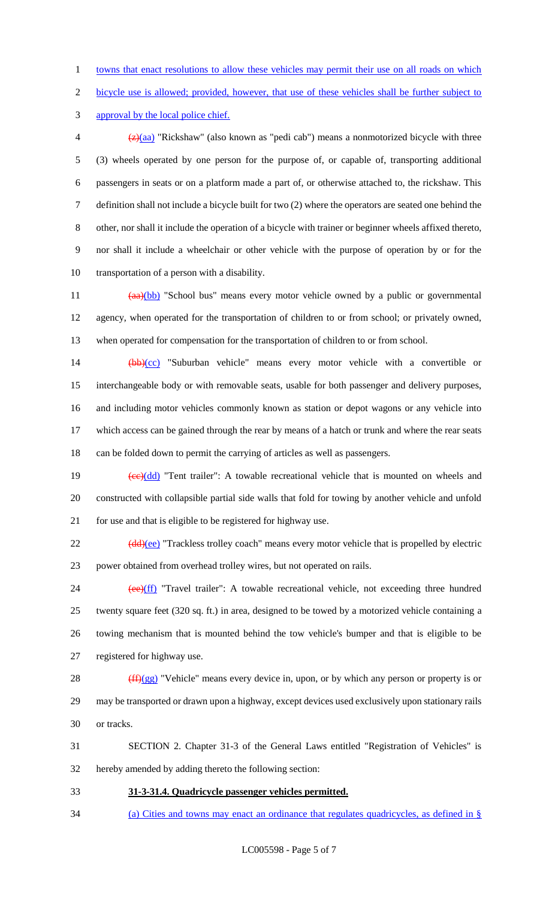towns that enact resolutions to allow these vehicles may permit their use on all roads on which

bicycle use is allowed; provided, however, that use of these vehicles shall be further subject to

approval by the local police chief.

 $\frac{1}{2}$  (z)(aa) "Rickshaw" (also known as "pedi cab") means a nonmotorized bicycle with three (3) wheels operated by one person for the purpose of, or capable of, transporting additional passengers in seats or on a platform made a part of, or otherwise attached to, the rickshaw. This definition shall not include a bicycle built for two (2) where the operators are seated one behind the other, nor shall it include the operation of a bicycle with trainer or beginner wheels affixed thereto, nor shall it include a wheelchair or other vehicle with the purpose of operation by or for the transportation of a person with a disability.

11 (aa)(bb) "School bus" means every motor vehicle owned by a public or governmental agency, when operated for the transportation of children to or from school; or privately owned, when operated for compensation for the transportation of children to or from school.

 (bb)(cc) "Suburban vehicle" means every motor vehicle with a convertible or interchangeable body or with removable seats, usable for both passenger and delivery purposes, and including motor vehicles commonly known as station or depot wagons or any vehicle into which access can be gained through the rear by means of a hatch or trunk and where the rear seats can be folded down to permit the carrying of articles as well as passengers.

19  $\left(\frac{ce}{dd}\right)$  "Tent trailer": A towable recreational vehicle that is mounted on wheels and constructed with collapsible partial side walls that fold for towing by another vehicle and unfold for use and that is eligible to be registered for highway use.

22 (dd)(ee) "Trackless trolley coach" means every motor vehicle that is propelled by electric power obtained from overhead trolley wires, but not operated on rails.

24 (ee)(ff) "Travel trailer": A towable recreational vehicle, not exceeding three hundred twenty square feet (320 sq. ft.) in area, designed to be towed by a motorized vehicle containing a towing mechanism that is mounted behind the tow vehicle's bumper and that is eligible to be registered for highway use.

28  $(ff)(gg)$  "Vehicle" means every device in, upon, or by which any person or property is or may be transported or drawn upon a highway, except devices used exclusively upon stationary rails or tracks.

 SECTION 2. Chapter 31-3 of the General Laws entitled "Registration of Vehicles" is hereby amended by adding thereto the following section:

**31-3-31.4. Quadricycle passenger vehicles permitted.** 

(a) Cities and towns may enact an ordinance that regulates quadricycles, as defined in §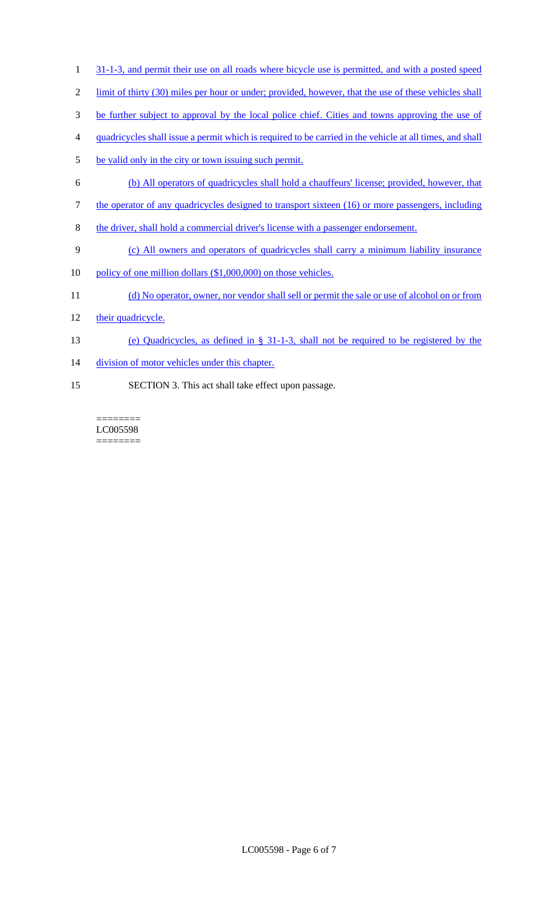- 1 31-1-3, and permit their use on all roads where bicycle use is permitted, and with a posted speed
- 2 limit of thirty (30) miles per hour or under; provided, however, that the use of these vehicles shall
- 3 be further subject to approval by the local police chief. Cities and towns approving the use of
- 4 quadricycles shall issue a permit which is required to be carried in the vehicle at all times, and shall
- 5 be valid only in the city or town issuing such permit.
- 6 (b) All operators of quadricycles shall hold a chauffeurs' license; provided, however, that
- 7 the operator of any quadricycles designed to transport sixteen (16) or more passengers, including
- 8 the driver, shall hold a commercial driver's license with a passenger endorsement.
- 9 (c) All owners and operators of quadricycles shall carry a minimum liability insurance
- 10 policy of one million dollars (\$1,000,000) on those vehicles.
- 11 (d) No operator, owner, nor vendor shall sell or permit the sale or use of alcohol on or from
- 12 their quadricycle.
- 13 (e) Quadricycles, as defined in § 31-1-3, shall not be required to be registered by the
- 14 division of motor vehicles under this chapter.
- 15 SECTION 3. This act shall take effect upon passage.

======== LC005598 ========